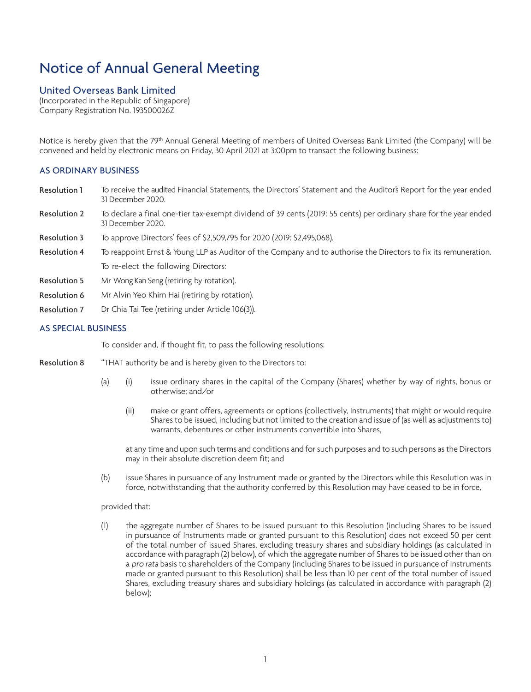# Notice of Annual General Meeting

# United Overseas Bank Limited

(Incorporated in the Republic of Singapore) Company Registration No. 193500026Z

Notice is hereby given that the 79<sup>th</sup> Annual General Meeting of members of United Overseas Bank Limited (the Company) will be convened and held by electronic means on Friday, 30 April 2021 at 3:00pm to transact the following business:

# AS ORDINARY BUSINESS

- Resolution 1 To receive the audited Financial Statements, the Directors' Statement and the Auditor's Report for the year ended 31 December 2020.
- Resolution 2 To declare a final one-tier tax-exempt dividend of 39 cents (2019: 55 cents) per ordinary share for the year ended 31 December 2020.
- Resolution 3 To approve Directors' fees of \$2,509,795 for 2020 (2019: \$2,495,068).
- Resolution 4 To reappoint Ernst & Young LLP as Auditor of the Company and to authorise the Directors to fix its remuneration. To re-elect the following Directors:
- Resolution 5 Mr Wong Kan Seng (retiring by rotation).
- Resolution 6 Mr Alvin Yeo Khirn Hai (retiring by rotation).
- Resolution 7 Dr Chia Tai Tee (retiring under Article 106(3)).

# AS SPECIAL BUSINESS

To consider and, if thought fit, to pass the following resolutions:

- Resolution 8 "THAT authority be and is hereby given to the Directors to:
	- (a) (i) issue ordinary shares in the capital of the Company (Shares) whether by way of rights, bonus or otherwise; and/or
		- (ii) make or grant offers, agreements or options (collectively, Instruments) that might or would require Shares to be issued, including but not limited to the creation and issue of (as well as adjustments to) warrants, debentures or other instruments convertible into Shares,

at any time and upon such terms and conditions and for such purposes and to such persons as the Directors may in their absolute discretion deem fit; and

(b) issue Shares in pursuance of any Instrument made or granted by the Directors while this Resolution was in force, notwithstanding that the authority conferred by this Resolution may have ceased to be in force,

#### provided that:

(1) the aggregate number of Shares to be issued pursuant to this Resolution (including Shares to be issued in pursuance of Instruments made or granted pursuant to this Resolution) does not exceed 50 per cent of the total number of issued Shares, excluding treasury shares and subsidiary holdings (as calculated in accordance with paragraph (2) below), of which the aggregate number of Shares to be issued other than on a pro rata basis to shareholders of the Company (including Shares to be issued in pursuance of Instruments made or granted pursuant to this Resolution) shall be less than 10 per cent of the total number of issued Shares, excluding treasury shares and subsidiary holdings (as calculated in accordance with paragraph (2) below);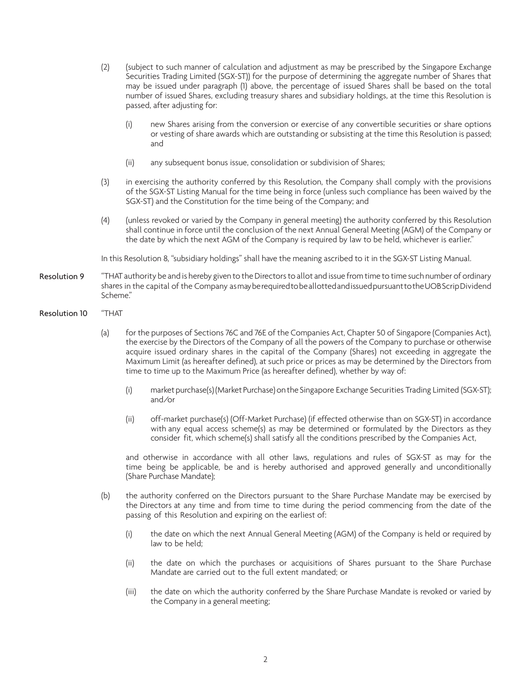- (2) (subject to such manner of calculation and adjustment as may be prescribed by the Singapore Exchange Securities Trading Limited (SGX-ST)) for the purpose of determining the aggregate number of Shares that may be issued under paragraph (1) above, the percentage of issued Shares shall be based on the total number of issued Shares, excluding treasury shares and subsidiary holdings, at the time this Resolution is passed, after adjusting for:
	- (i) new Shares arising from the conversion or exercise of any convertible securities or share options or vesting of share awards which are outstanding or subsisting at the time this Resolution is passed; and
	- (ii) any subsequent bonus issue, consolidation or subdivision of Shares;
- (3) in exercising the authority conferred by this Resolution, the Company shall comply with the provisions of the SGX-ST Listing Manual for the time being in force (unless such compliance has been waived by the SGX-ST) and the Constitution for the time being of the Company; and
- (4) (unless revoked or varied by the Company in general meeting) the authority conferred by this Resolution shall continue in force until the conclusion of the next Annual General Meeting (AGM) of the Company or the date by which the next AGM of the Company is required by law to be held, whichever is earlier."

In this Resolution 8, "subsidiary holdings" shall have the meaning ascribed to it in the SGX-ST Listing Manual.

- Resolution 9 <sup>"</sup> THAT authority be and is hereby given to the Directors to allot and issue from time to time such number of ordinary shares in the capital of the Company as may be required to be allotted and issued pursuant to the UOB Scrip Dividend Scheme."
- Resolution 10 "THAT
	- (a) for the purposes of Sections 76C and 76E of the Companies Act, Chapter 50 of Singapore (Companies Act), the exercise by the Directors of the Company of all the powers of the Company to purchase or otherwise acquire issued ordinary shares in the capital of the Company (Shares) not exceeding in aggregate the Maximum Limit (as hereafter defined), at such price or prices as may be determined by the Directors from time to time up to the Maximum Price (as hereafter defined), whether by way of:
		- (i) market purchase(s) (Market Purchase) on the Singapore Exchange Securities Trading Limited (SGX-ST); and/or
		- (ii) off-market purchase(s) (Off-Market Purchase) (if effected otherwise than on SGX-ST) in accordance with any equal access scheme(s) as may be determined or formulated by the Directors as they consider fit, which scheme(s) shall satisfy all the conditions prescribed by the Companies Act,

and otherwise in accordance with all other laws, regulations and rules of SGX-ST as may for the time being be applicable, be and is hereby authorised and approved generally and unconditionally (Share Purchase Mandate);

- (b) the authority conferred on the Directors pursuant to the Share Purchase Mandate may be exercised by the Directors at any time and from time to time during the period commencing from the date of the passing of this Resolution and expiring on the earliest of:
	- (i) the date on which the next Annual General Meeting (AGM) of the Company is held or required by law to be held;
	- (ii) the date on which the purchases or acquisitions of Shares pursuant to the Share Purchase Mandate are carried out to the full extent mandated; or
	- (iii) the date on which the authority conferred by the Share Purchase Mandate is revoked or varied by the Company in a general meeting;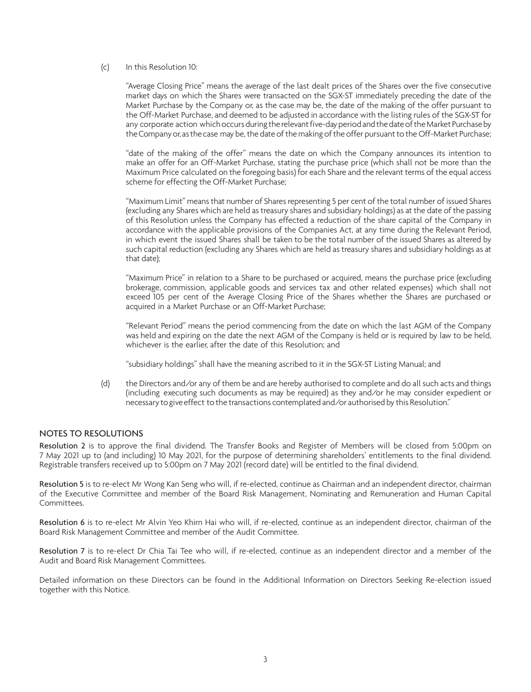#### (c) In this Resolution 10:

"Average Closing Price" means the average of the last dealt prices of the Shares over the five consecutive market days on which the Shares were transacted on the SGX-ST immediately preceding the date of the Market Purchase by the Company or, as the case may be, the date of the making of the offer pursuant to the Off-Market Purchase, and deemed to be adjusted in accordance with the listing rules of the SGX-ST for any corporate action which occurs during the relevant five-day period and the date of the Market Purchase by the Company or, as the case may be, the date of the making of the offer pursuant to the Off-Market Purchase;

"date of the making of the offer" means the date on which the Company announces its intention to make an offer for an Off-Market Purchase, stating the purchase price (which shall not be more than the Maximum Price calculated on the foregoing basis) for each Share and the relevant terms of the equal access scheme for effecting the Off-Market Purchase;

"Maximum Limit" means that number of Shares representing 5 per cent of the total number of issued Shares (excluding any Shares which are held as treasury shares and subsidiary holdings) as at the date of the passing of this Resolution unless the Company has effected a reduction of the share capital of the Company in accordance with the applicable provisions of the Companies Act, at any time during the Relevant Period, in which event the issued Shares shall be taken to be the total number of the issued Shares as altered by such capital reduction (excluding any Shares which are held as treasury shares and subsidiary holdings as at that date);

"Maximum Price" in relation to a Share to be purchased or acquired, means the purchase price (excluding brokerage, commission, applicable goods and services tax and other related expenses) which shall not exceed 105 per cent of the Average Closing Price of the Shares whether the Shares are purchased or acquired in a Market Purchase or an Off-Market Purchase;

"Relevant Period" means the period commencing from the date on which the last AGM of the Company was held and expiring on the date the next AGM of the Company is held or is required by law to be held, whichever is the earlier, after the date of this Resolution; and

"subsidiary holdings" shall have the meaning ascribed to it in the SGX-ST Listing Manual; and

(d) the Directors and/or any of them be and are hereby authorised to complete and do all such acts and things (including executing such documents as may be required) as they and/or he may consider expedient or necessary to give effect to the transactions contemplated and/or authorised by this Resolution."

### NOTES TO RESOLUTIONS

Resolution 2 is to approve the final dividend. The Transfer Books and Register of Members will be closed from 5:00pm on 7 May 2021 up to (and including) 10 May 2021, for the purpose of determining shareholders' entitlements to the final dividend. Registrable transfers received up to 5:00pm on 7 May 2021 (record date) will be entitled to the final dividend.

Resolution 5 is to re-elect Mr Wong Kan Seng who will, if re-elected, continue as Chairman and an independent director, chairman of the Executive Committee and member of the Board Risk Management, Nominating and Remuneration and Human Capital Committees.

Resolution 6 is to re-elect Mr Alvin Yeo Khirn Hai who will, if re-elected, continue as an independent director, chairman of the Board Risk Management Committee and member of the Audit Committee.

Resolution 7 is to re-elect Dr Chia Tai Tee who will, if re-elected, continue as an independent director and a member of the Audit and Board Risk Management Committees.

Detailed information on these Directors can be found in the Additional Information on Directors Seeking Re-election issued together with this Notice.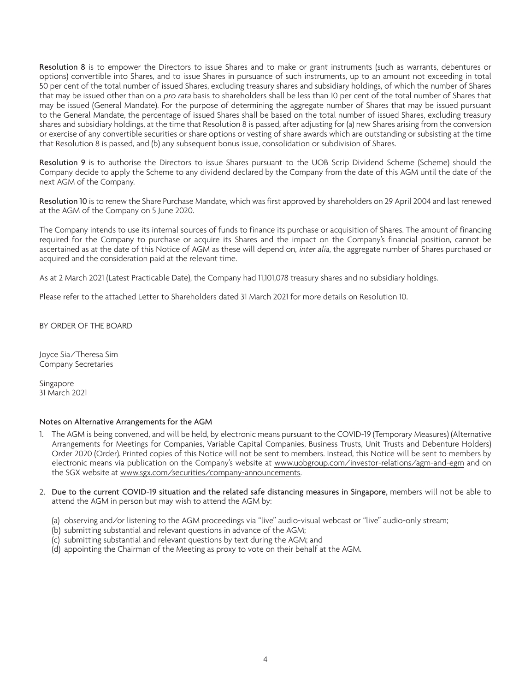Resolution 8 is to empower the Directors to issue Shares and to make or grant instruments (such as warrants, debentures or options) convertible into Shares, and to issue Shares in pursuance of such instruments, up to an amount not exceeding in total 50 per cent of the total number of issued Shares, excluding treasury shares and subsidiary holdings, of which the number of Shares that may be issued other than on a *pro rata* basis to shareholders shall be less than 10 per cent of the total number of Shares that may be issued (General Mandate). For the purpose of determining the aggregate number of Shares that may be issued pursuant to the General Mandate, the percentage of issued Shares shall be based on the total number of issued Shares, excluding treasury shares and subsidiary holdings, at the time that Resolution 8 is passed, after adjusting for (a) new Shares arising from the conversion or exercise of any convertible securities or share options or vesting of share awards which are outstanding or subsisting at the time that Resolution 8 is passed, and (b) any subsequent bonus issue, consolidation or subdivision of Shares.

Resolution 9 is to authorise the Directors to issue Shares pursuant to the UOB Scrip Dividend Scheme (Scheme) should the Company decide to apply the Scheme to any dividend declared by the Company from the date of this AGM until the date of the next AGM of the Company.

Resolution 10 is to renew the Share Purchase Mandate, which was first approved by shareholders on 29 April 2004 and last renewed at the AGM of the Company on 5 June 2020.

The Company intends to use its internal sources of funds to finance its purchase or acquisition of Shares. The amount of financing required for the Company to purchase or acquire its Shares and the impact on the Company's financial position, cannot be ascertained as at the date of this Notice of AGM as these will depend on, inter alia, the aggregate number of Shares purchased or acquired and the consideration paid at the relevant time.

As at 2 March 2021 (Latest Practicable Date), the Company had 11,101,078 treasury shares and no subsidiary holdings.

Please refer to the attached Letter to Shareholders dated 31 March 2021 for more details on Resolution 10.

BY ORDER OF THE BOARD

Joyce Sia/Theresa Sim Company Secretaries

Singapore 31 March 2021

#### Notes on Alternative Arrangements for the AGM

- 1. The AGM is being convened, and will be held, by electronic means pursuant to the COVID-19 (Temporary Measures) (Alternative Arrangements for Meetings for Companies, Variable Capital Companies, Business Trusts, Unit Trusts and Debenture Holders) Order 2020 (Order). Printed copies of this Notice will not be sent to members. Instead, this Notice will be sent to members by electronic means via publication on the Company's website at www.uobgroup.com/investor-relations/agm-and-egm and on the SGX website at www.sgx.com/securities/company-announcements.
- 2. Due to the current COVID-19 situation and the related safe distancing measures in Singapore, members will not be able to attend the AGM in person but may wish to attend the AGM by:
	- (a) observing and/or listening to the AGM proceedings via "live" audio-visual webcast or "live" audio-only stream;
	- (b) submitting substantial and relevant questions in advance of the AGM;
	- (c) submitting substantial and relevant questions by text during the AGM; and
	- (d) appointing the Chairman of the Meeting as proxy to vote on their behalf at the AGM.